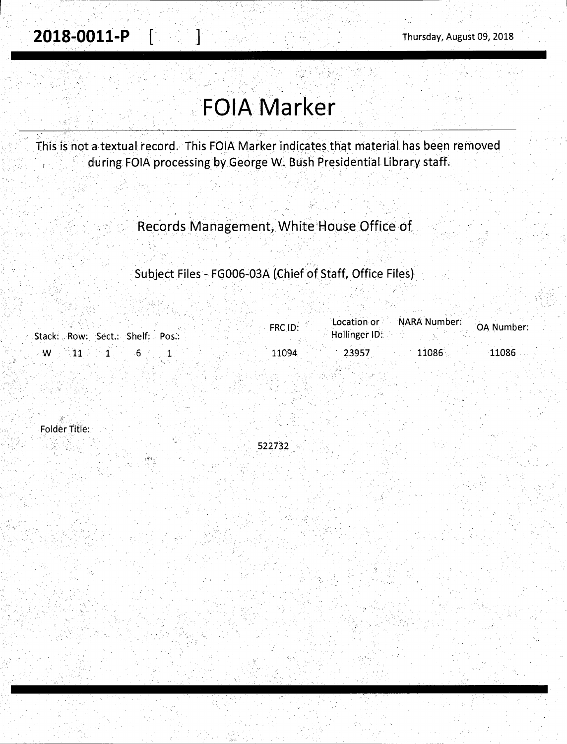## **FOIA Marker**

This is not a textual record. This FOIA Marker indicates that material has been rernoved during FOIA processing by George W. Bush Presidential Library staff.

. . . ·.· ' ' . . . . ··.' · .. :; : . . ... - ,. . . ...... . ·. - - .

. ·. . . . ·- .. Records Management, White House Office of

Subject Files - FG006-03A (Chief of Staff, Office Files)

|                                 | FRC ID: |               | Location or NARA Number: | OA Number: |
|---------------------------------|---------|---------------|--------------------------|------------|
| Stack: Row: Sect.: Shelf: Pos.: |         | Hollinger ID: |                          |            |
| w                               | 11094   | 23957         | $11086^{\circ}$          | 11086      |

522732

Folder Title: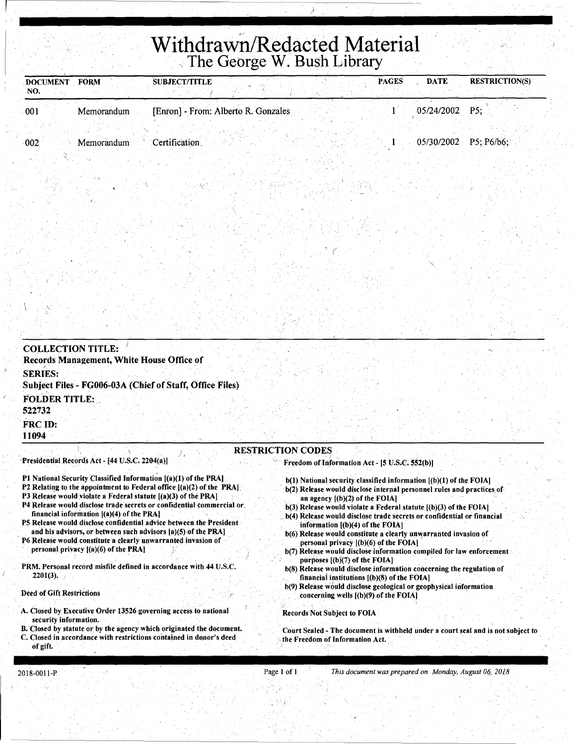# **Withdrawn/Redacted Material** , The George W. Bush Library

)

' *(* 

| <b>FORM</b><br><b>DOCUMENT</b><br>'NO. | SUBJECT/TITLE                       | <b>PAGES</b> | <b>DATE</b>    | <b>RESTRICTION(S)</b>   |
|----------------------------------------|-------------------------------------|--------------|----------------|-------------------------|
| 001<br>Memorandum                      | [Enron] - From: Alberto R. Gonzales |              | 05/24/2002 P5; |                         |
|                                        |                                     |              |                |                         |
| 002<br>Memorandum                      | Certification.                      |              |                | $05/30/2002$ P5; P6/b6; |

 $\sqrt{2}$ 

| <b>COLLECTION TITLE:</b>       |                                                          |                          |                                                |  |  |
|--------------------------------|----------------------------------------------------------|--------------------------|------------------------------------------------|--|--|
|                                | Records Management, White House Office of                |                          |                                                |  |  |
| <b>SERIES:</b>                 | Subject Files - FG006-03A (Chief of Staff, Office Files) |                          |                                                |  |  |
| <b>FOLDER TITLE:</b><br>522732 |                                                          |                          |                                                |  |  |
| FRC ID:<br>11094               |                                                          |                          |                                                |  |  |
|                                | Presidential Records Act - [44 U.S.C. 2204(a)]           | <b>RESTRICTION CODES</b> | Freedom of Information Act - [5 U.S.C. 552(b)] |  |  |

- Pl National Security Classified Information [(a)(l) of the PRA)
- P2 Relating to the appointment to Federal office  $|(a)(2)$  of the PRA].
- P3 Release would violate a Federal statute  $[(a)(3)$  of the PRA]
- P4 Release would disclose trade secrets or confidential commercial or. financial information  $[(a)(4)$  of the PRA]
- PS Release would disclose confidential advice between the President . and his advisors, or between such advisors [a)(S) of the PRA]
- P6 Release would constitute a clearly unwarranted invasion of personal privacy  $[(a)(6)$  of the PRA]
- PRM. Personal record misfile defined in accordance with 44 U.S.C. 2201(3).

#### .Deed of Gift Restrictions

- A. Closed by Executive Order 13526 governing access to national security information;
- B. Closed by statute or by the agency which originated the document. C. Closed in accordance with restrictions contained in donor's deed
- of gift.

#### personal privacy  $[(b)(6)$  of the FOIA] b(7) Release would disclose information compiled for law enforcement

- purposes [(b)(7) of the FOIA) b(8) Release would disclose information concerning the regulation of
- . financial institutions [(b)(8) of the FOIA) b(9) Release would disclose geological or geophysical information concerning wells  $[(b)(9)$  of the FOIA]

b(l) National security classified information [(b)(l) of the FOIA] b(2) Release would disclose internal personnel rules and practices of

 $b(3)$  Release would violate a Federal statute  $[(b)(3)$  of the FOIA] b(4) Release would disclose trade secrets or confidential or financial

b(6) Release would constitute a clearly unwarranted invasion of

#### Records Not Subject to FOIA

an agency [(b)(2) of the FOIA)

information [(b)(4) of the FOIA]

Court Sealed - The document is withheld under a court seal and is not subject to the Freedom of Information Act.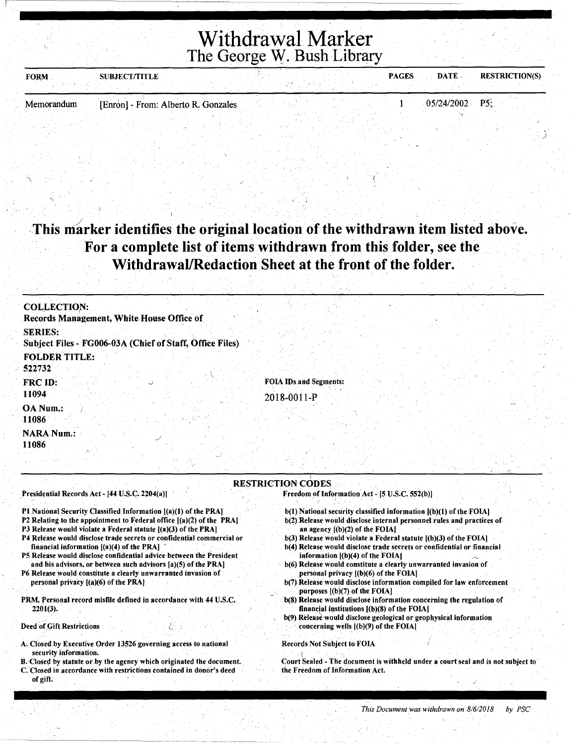## Withdrawal Marker The George w. Bush Library

| <b>FORM</b> | <b>SUBJECT/TITLE</b>                |  | <b>PAGES</b> | <b>DATE</b>      | <b>RESTRICTION(S)</b> |
|-------------|-------------------------------------|--|--------------|------------------|-----------------------|
|             |                                     |  |              |                  |                       |
| Memorandum  | [Enron] - From: Alberto R. Gonzales |  |              | $05/24/2002$ P5. |                       |

## This marker identifies the original location of the withdrawn item listed above. For a complete list of items withdrawn from this folder, see the Withdrawal/Redaction Sheet at the front of the folder.

| <b>COLLECTION:</b><br>Records Management, White House Office of            |                                              |
|----------------------------------------------------------------------------|----------------------------------------------|
| <b>SERIES:</b><br>Subject Files - FG006-03A (Chief of Staff, Office Files) |                                              |
| <b>FOLDER TITLE:</b><br>522732                                             |                                              |
| FRC ID:<br>11094                                                           | <b>FOIA IDs and Segments:</b><br>2018-0011-P |
| OA Num.:<br>11086                                                          |                                              |
| <b>NARA Num.:</b><br>11086                                                 |                                              |

#### RESTRICTION CODES

#### Presidential Records Act - [44 U.S.C. 2204(a))

- Pl National Security Classified Information [(a)(l) of the PRA)
- P2 Relating to the appointment to Federal office [(a)(2) of the PRA)
- P3 Release would violate a Federal statute  $[(a)(3)$  of the PRA]
- P4 Release would disclose trade secrets or confidential commercial or financial information  $[(a)(4)$  of the PRA]
- PS Release would disclose confidential adviee between the President and his advisors, or between such advisors [a)(S) of the PRA)
- P6 Release would constitute a clearly unwarranted invasion of personal privacy [(a)(6) of the PRA)
- PRM. Personal record misfile defined in accordance with 44 U.S.C.  $2201(3)$ .

#### Deed of Gift Restrictions

r-

- A. Closed by Executive Order 13526 governing access to national security information.
- B. Closed by statute or by the agency which originated the document.
- C. 'Closed in accordance with restrictions contained in donor's deed of gift.

b(l) National security classified information [(b)(l) of the FOIA]

Freedom of Information Act - [5 U.S.C. 552(b)]

- b(2).Release would disclose internal personnel rules and practices of an agency  $[(b)(2)$  of the FOIA]
- $b(3)$  Release would violate a Federal statute  $[(b)(3)$  of the FOIA]
- b(4) Release would disclose trade secrets or confidential or financial information  $[(b)(4)$  of the FOIA]
- b(6) Release would constitute a clearly unwarranted invasion of personal privacy [(b)(6) of the FOIA)
- b(7) Release would disclose information compiled for law enforcement purposes  $[(b)(7)$  of the FOIA]
- b(8) Release would disclose information concerning the regulation of financial institutions [(b)(8) of the FOIA)
- b(9) Release would disclose geological or geophysical information concerning wells [(b)(9) of the FOIA]

#### Records Not Subject to FOIA

. I

Court Sealed - The document is withheld under a court seal and is not subject to the Freedom of Information Act.